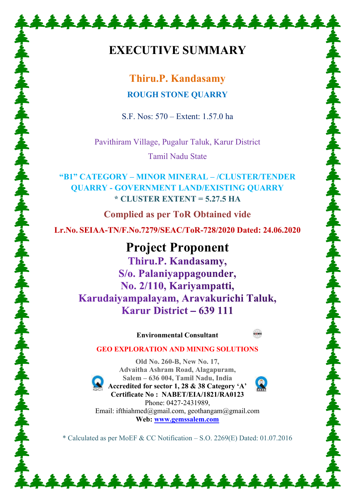# **EXECUTIVE SUMMARY**

\*\*\*\*\*\*\*\*\*\*\*\*\*\*\*\*\*\*\*

# **Thiru.P. Kandasamy ROUGH STONE QUARRY**

S.F. Nos: 570 – Extent: 1.57.0 ha

Pavithiram Village, Pugalur Taluk, Karur District Tamil Nadu State

**"B1" CATEGORY – MINOR MINERAL – /CLUSTER/TENDER QUARRY - GOVERNMENT LAND/EXISTING QUARRY \* CLUSTER EXTENT = 5.27.5 HA**

**Complied as per ToR Obtained vide Lr.No. SEIAA-TN/F.No.7279/SEAC/ToR-728/2020 Dated: 24.06.2020** 

**Project Proponent** Thiru.P. Kandasamy, S/o. Palaniyappagounder, No. 2/110, Kariyampatti, Karudaiyampalayam, Aravakurichi Taluk, Karur District  $-639$  111

**Environmental Consultant** 



# **GEO EXPLORATION AND MINING SOLUTIONS Old No. 260-B, New No. 17,**



**Advaitha Ashram Road, Alagapuram, Salem – 636 004, Tamil Nadu, India Accredited for sector 1, 28 & 38 Category 'A' Certificate No : NABET/EIA/1821/RA0123**  Phone: 0427-2431989, Email: ifthiahmed@gmail.com, geothangam@gmail.com **Web: [www.gemssalem.com](http://www.gemssalem.com/)** 

\* Calculated as per MoEF & CC Notification – S.O. 2269(E) Dated: 01.07.2016

\*\*\*\*\*\*\*\*\*\*\*\*\*\*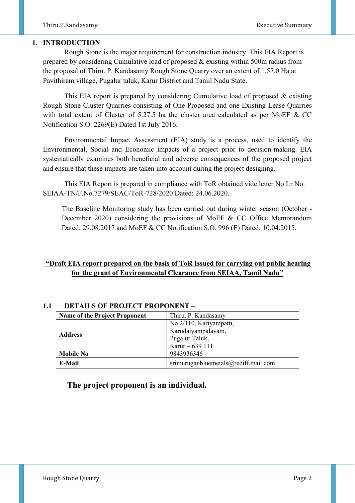#### **1. INTRODUCTION**

 Rough Stone is the major requirement for construction industry. This EIA Report is prepared by considering Cumulative load of proposed & existing within 500m radius from the proposal of Thiru. P. Kandasamy Rough Stone Quarry over an extent of 1.57.0 Ha at Pavithiram village, Pugalur taluk, Karur District and Tamil Nadu State.

 This EIA report is prepared by considering Cumulative load of proposed & existing Rough Stone Cluster Quarries consisting of One Proposed and one Existing Lease Quarries with total extent of Cluster of 5.27.5 ha the cluster area calculated as per MoEF & CC Notification S.O. 2269(E) Dated 1st July 2016.

 Environmental Impact Assessment (EIA) study is a process, used to identify the Environmental, Social and Economic impacts of a project prior to decision-making. EIA systematically examines both beneficial and adverse consequences of the proposed project and ensure that these impacts are taken into account during the project designing.

 This EIA Report is prepared in compliance with ToR obtained vide letter No Lr No. SEIAA-TN/F.No.7279/SEAC/ToR-728/2020 Dated: 24.06.2020.

The Baseline Monitoring study has been carried out during winter season (October - December 2020) considering the provisions of MoEF & CC Office Memorandum Dated: 29.08.2017 and MoEF & CC Notification S.O. 996 (E) Dated: 10.04.2015.

# **"Draft EIA report prepared on the basis of ToR Issued for carrying out public hearing for the grant of Environmental Clearance from SEIAA, Tamil Nadu"**

| <b>Name of the Project Proponent</b> | Thiru. P. Kandasamy                      |
|--------------------------------------|------------------------------------------|
|                                      | No.2/110, Kariyampatti,                  |
| <b>Address</b>                       | Karudaiyampalayam,                       |
|                                      | Pugalur Taluk,                           |
|                                      | Karur $-639$ 111.                        |
| <b>Mobile No</b>                     | 9843936346                               |
| E-Mail                               | srimuruganbluemetals $@$ rediff.mail.com |

#### **1.1 DETAILS OF PROJECT PROPONENT –**

# **The project proponent is an individual.**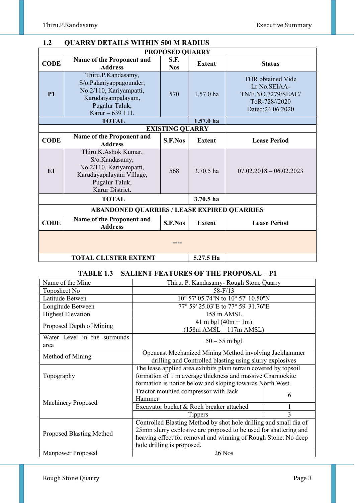| <b>QUARRY DETAILS WITHIN 500 M RADIUS</b><br>1.2   |                                                                                                                                      |                        |               |                                                                                                     |  |  |
|----------------------------------------------------|--------------------------------------------------------------------------------------------------------------------------------------|------------------------|---------------|-----------------------------------------------------------------------------------------------------|--|--|
| <b>PROPOSED QUARRY</b>                             |                                                                                                                                      |                        |               |                                                                                                     |  |  |
| <b>CODE</b>                                        | Name of the Proponent and<br><b>Address</b>                                                                                          | S.F.<br><b>Nos</b>     | <b>Extent</b> | <b>Status</b>                                                                                       |  |  |
| <b>P1</b>                                          | Thiru.P.Kandasamy,<br>S/o.Palaniyappagounder,<br>No.2/110, Kariyampatti,<br>Karudaiyampalayam,<br>Pugalur Taluk,<br>Karur - 639 111. | 570                    | $1.57.0$ ha   | <b>TOR</b> obtained Vide<br>Lr No.SEIAA-<br>TN/F.NO.7279/SEAC/<br>ToR-728//2020<br>Dated:24.06.2020 |  |  |
|                                                    | <b>TOTAL</b>                                                                                                                         |                        | $1.57.0$ ha   |                                                                                                     |  |  |
|                                                    |                                                                                                                                      | <b>EXISTING QUARRY</b> |               |                                                                                                     |  |  |
| <b>CODE</b>                                        | Name of the Proponent and<br><b>Address</b>                                                                                          | <b>S.F.Nos</b>         | <b>Extent</b> | <b>Lease Period</b>                                                                                 |  |  |
| E1                                                 | Thiru.K.Ashok Kumar,<br>S/o.Kandasamy,<br>No.2/110, Kariyampatti,<br>Karudayapalayam Village,<br>Pugalur Taluk,<br>Karur District.   | 568                    | 3.70.5 ha     | $07.02.2018 - 06.02.2023$                                                                           |  |  |
|                                                    | <b>TOTAL</b>                                                                                                                         |                        | $3.70.5$ ha   |                                                                                                     |  |  |
| <b>ABANDONED QUARRIES / LEASE EXPIRED QUARRIES</b> |                                                                                                                                      |                        |               |                                                                                                     |  |  |
| <b>CODE</b>                                        | Name of the Proponent and<br><b>Address</b>                                                                                          | <b>S.F.Nos</b>         | <b>Extent</b> | <b>Lease Period</b>                                                                                 |  |  |
|                                                    |                                                                                                                                      |                        |               |                                                                                                     |  |  |
| 5.27.5 Ha<br><b>TOTAL CLUSTER EXTENT</b>           |                                                                                                                                      |                        |               |                                                                                                     |  |  |

# **TABLE 1.3 SALIENT FEATURES OF THE PROPOSAL – P1**

| Name of the Mine                     | Thiru. P. Kandasamy- Rough Stone Quarry                                                                                                                                                     |              |  |
|--------------------------------------|---------------------------------------------------------------------------------------------------------------------------------------------------------------------------------------------|--------------|--|
| Toposheet No                         | $58 - F/13$                                                                                                                                                                                 |              |  |
| Latitude Betwen                      | 10° 57' 05.74"N to 10° 57' 10.50"N                                                                                                                                                          |              |  |
| Longitude Between                    | 77° 59' 25.03"E to 77° 59' 31.76"E                                                                                                                                                          |              |  |
| <b>Highest Elevation</b>             | 158 m AMSL                                                                                                                                                                                  |              |  |
| Proposed Depth of Mining             | 41 m bgl $(40m + 1m)$<br>$(158m$ AMSL $-117m$ AMSL)                                                                                                                                         |              |  |
| Water Level in the surrounds<br>area | $50 - 55$ m bgl                                                                                                                                                                             |              |  |
| Method of Mining                     | Opencast Mechanized Mining Method involving Jackhammer<br>drilling and Controlled blasting using slurry explosives                                                                          |              |  |
| Topography                           | The lease applied area exhibits plain terrain covered by topsoil<br>formation of 1 m average thickness and massive Charnockite<br>formation is notice below and sloping towards North West. |              |  |
|                                      | Tractor mounted compressor with Jack<br>Hammer                                                                                                                                              | 6            |  |
| <b>Machinery Proposed</b>            | Excavator bucket & Rock breaker attached                                                                                                                                                    |              |  |
|                                      | <b>Tippers</b>                                                                                                                                                                              | $\mathbf{3}$ |  |
|                                      | Controlled Blasting Method by shot hole drilling and small dia of                                                                                                                           |              |  |
| <b>Proposed Blasting Method</b>      | 25mm slurry explosive are proposed to be used for shattering and                                                                                                                            |              |  |
|                                      | heaving effect for removal and winning of Rough Stone. No deep                                                                                                                              |              |  |
|                                      | hole drilling is proposed.                                                                                                                                                                  |              |  |
| <b>Manpower Proposed</b>             | 26 Nos                                                                                                                                                                                      |              |  |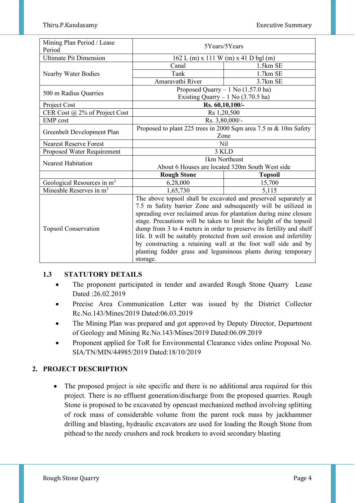| Mining Plan Period / Lease              | 5Years/5Years                                                         |                                                                  |  |
|-----------------------------------------|-----------------------------------------------------------------------|------------------------------------------------------------------|--|
| Period<br><b>Ultimate Pit Dimension</b> |                                                                       |                                                                  |  |
|                                         | 162 L (m) x 111 W (m) x 41 D bgl (m)                                  |                                                                  |  |
|                                         | Canal<br>Tank                                                         | $1.5km$ SE<br>1.7km SE                                           |  |
| Nearby Water Bodies                     |                                                                       |                                                                  |  |
|                                         | Amaravathi River                                                      | 3.7km SE                                                         |  |
| 500 m Radius Quarries                   |                                                                       | Proposed Quarry $-1$ No (1.57.0 ha)                              |  |
|                                         |                                                                       | Existing Quarry $-1$ No (3.70.5 ha)                              |  |
| Project Cost                            |                                                                       | Rs. 60,10,100/-                                                  |  |
| CER Cost @ 2% of Project Cost           |                                                                       | Rs 1,20,500                                                      |  |
| <b>EMP</b> cost                         |                                                                       | Rs. 3,80,000/-                                                   |  |
|                                         |                                                                       | Proposed to plant 225 trees in 2000 Sqm area 7.5 m & 10m Safety  |  |
| Greenbelt Development Plan              | Zone                                                                  |                                                                  |  |
| <b>Nearest Reserve Forest</b>           | Nil                                                                   |                                                                  |  |
| Proposed Water Requirement              | 3 KLD                                                                 |                                                                  |  |
| <b>Nearest Habitation</b>               | 1km Northeast                                                         |                                                                  |  |
|                                         | About 6 Houses are located 320m South West side                       |                                                                  |  |
|                                         | <b>Rough Stone</b>                                                    | <b>Topsoil</b>                                                   |  |
| Geological Resources in m <sup>3</sup>  | 6,28,000                                                              | 15,700                                                           |  |
| Mineable Reserves in m <sup>3</sup>     | 1,65,730                                                              | 5,115                                                            |  |
|                                         |                                                                       | The above topsoil shall be excavated and preserved separately at |  |
|                                         |                                                                       | 7.5 m Safety barrier Zone and subsequently will be utilized in   |  |
|                                         | spreading over reclaimed areas for plantation during mine closure     |                                                                  |  |
|                                         | stage. Precautions will be taken to limit the height of the topsoil   |                                                                  |  |
| <b>Topsoil Conservation</b>             | dump from 3 to 4 meters in order to preserve its fertility and shelf  |                                                                  |  |
|                                         | life. It will be suitably protected from soil erosion and infertility |                                                                  |  |
|                                         | by constructing a retaining wall at the foot wall side and by         |                                                                  |  |
|                                         | planting fodder grass and leguminous plants during temporary          |                                                                  |  |
|                                         | storage.                                                              |                                                                  |  |

# **1.3 STATUTORY DETAILS**

- The proponent participated in tender and awarded Rough Stone Quarry Lease Dated :26.02.2019
- Precise Area Communication Letter was issued by the District Collector Rc.No.143/Mines/2019 Dated:06.03.2019
- The Mining Plan was prepared and got approved by Deputy Director, Department of Geology and Mining Rc.No.143/Mines/2019 Dated:06.09.2019
- Proponent applied for ToR for Environmental Clearance vides online Proposal No. SIA/TN/MIN/44985/2019 Dated:18/10/2019

# **2. PROJECT DESCRIPTION**

• The proposed project is site specific and there is no additional area required for this project. There is no effluent generation/discharge from the proposed quarries. Rough Stone is proposed to be excavated by opencast mechanized method involving splitting of rock mass of considerable volume from the parent rock mass by jackhammer drilling and blasting, hydraulic excavators are used for loading the Rough Stone from pithead to the needy crushers and rock breakers to avoid secondary blasting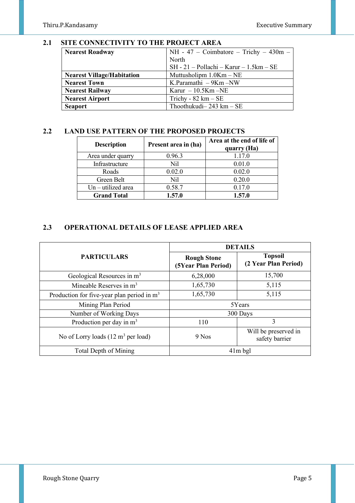### **2.1 SITE CONNECTIVITY TO THE PROJECT AREA**

| <b>Nearest Roadway</b>            | $NH - 47$ – Coimbatore – Trichy – 430m –  |  |
|-----------------------------------|-------------------------------------------|--|
|                                   | North                                     |  |
|                                   | $SH - 21 - Pollachi - Karur - 1.5km - SE$ |  |
| <b>Nearest Village/Habitation</b> | Muttusholipm $1.0$ Km $-$ NE              |  |
| <b>Nearest Town</b>               | K.Paramathi $-9$ Km $-NW$                 |  |
| <b>Nearest Railway</b>            | Karur $-10.5$ Km $-NE$                    |  |
| <b>Nearest Airport</b>            | Trichy - $82 \text{ km} - \text{SE}$      |  |
| <b>Seaport</b>                    | Thoothukudi- $243 \text{ km} - \text{SE}$ |  |

# **2.2 LAND USE PATTERN OF THE PROPOSED PROJECTS**

| <b>Description</b>   | Present area in (ha) | Area at the end of life of<br>quarry (Ha) |
|----------------------|----------------------|-------------------------------------------|
| Area under quarry    | 0.96.3               | 1.17.0                                    |
| Infrastructure       | Nil                  | 0.01.0                                    |
| Roads                | 0.02.0               | 0.02.0                                    |
| Green Belt           | Nil                  | 0.20.0                                    |
| $Un - utilized area$ | 0.58.7               | 0.17.0                                    |
| <b>Grand Total</b>   | 1.57.0               | 1.57.0                                    |

# **2.3 OPERATIONAL DETAILS OF LEASE APPLIED AREA**

|                                                       | <b>DETAILS</b>                            |                                        |  |
|-------------------------------------------------------|-------------------------------------------|----------------------------------------|--|
| <b>PARTICULARS</b>                                    | <b>Rough Stone</b><br>(5Year Plan Period) | <b>Topsoil</b><br>(2 Year Plan Period) |  |
| Geological Resources in m <sup>3</sup>                | 6,28,000                                  | 15,700                                 |  |
| Mineable Reserves in $m3$                             | 1,65,730                                  | 5,115                                  |  |
| Production for five-year plan period in $m3$          | 1,65,730                                  | 5,115                                  |  |
| Mining Plan Period                                    |                                           | 5Years                                 |  |
| Number of Working Days                                |                                           | 300 Days                               |  |
| Production per day in $m3$                            | 110                                       | 3                                      |  |
| No of Lorry loads $(12 \text{ m}^3 \text{ per load})$ | $9$ Nos                                   | Will be preserved in<br>safety barrier |  |
| Total Depth of Mining                                 | $41m$ bgl                                 |                                        |  |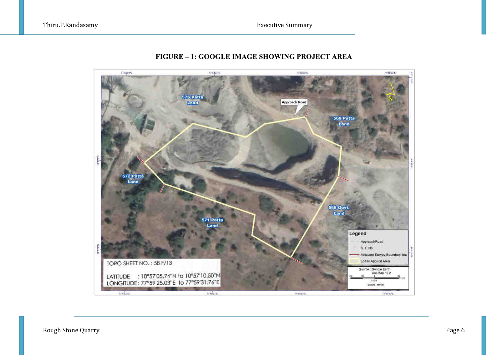

# **FIGURE – 1: GOOGLE IMAGE SHOWING PROJECT AREA**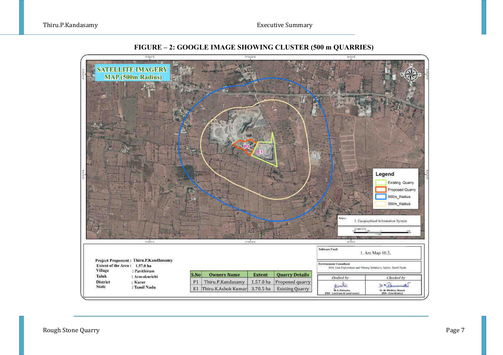Thiru.P.Kandasamy Executive Summary



**FIGURE – 2: GOOGLE IMAGE SHOWING CLUSTER (500 m QUARRIES)**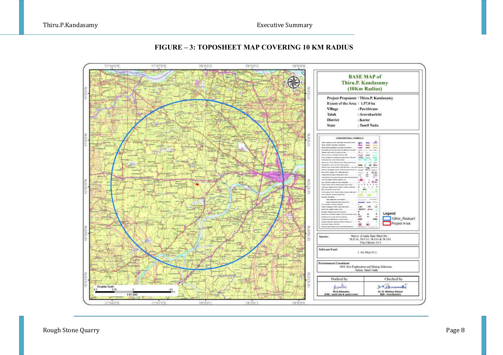Thiru.P.Kandasamy Executive Summary



## **FIGURE – 3: TOPOSHEET MAP COVERING 10 KM RADIUS**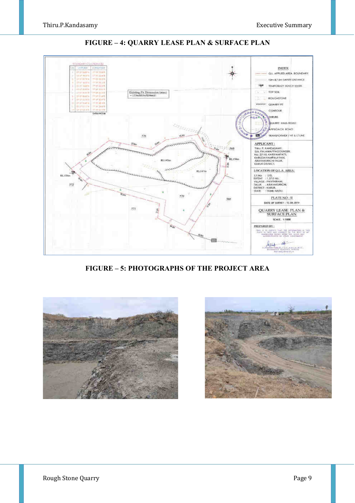

**FIGURE – 4: QUARRY LEASE PLAN & SURFACE PLAN** 

**FIGURE – 5: PHOTOGRAPHS OF THE PROJECT AREA** 



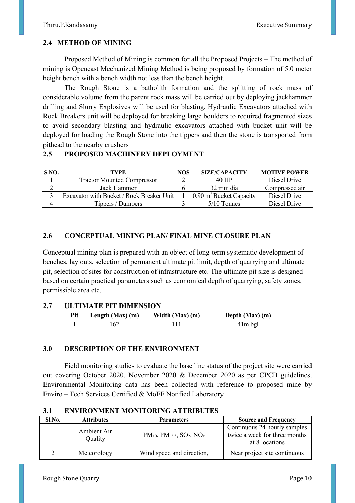## **2.4 METHOD OF MINING**

 Proposed Method of Mining is common for all the Proposed Projects – The method of mining is Opencast Mechanized Mining Method is being proposed by formation of 5.0 meter height bench with a bench width not less than the bench height.

 The Rough Stone is a batholith formation and the splitting of rock mass of considerable volume from the parent rock mass will be carried out by deploying jackhammer drilling and Slurry Explosives will be used for blasting. Hydraulic Excavators attached with Rock Breakers unit will be deployed for breaking large boulders to required fragmented sizes to avoid secondary blasting and hydraulic excavators attached with bucket unit will be deployed for loading the Rough Stone into the tippers and then the stone is transported from pithead to the nearby crushers

# **2.5 PROPOSED MACHINERY DEPLOYMENT**

| SNO. | TYPE                                      | NOS. | <b>SIZE/CAPACITY</b>                 | <b>MOTIVE POWER</b> |
|------|-------------------------------------------|------|--------------------------------------|---------------------|
|      | <b>Tractor Mounted Compressor</b>         |      | 40 HP                                | Diesel Drive        |
|      | Jack Hammer                               |      | 32 mm dia                            | Compressed air      |
|      | Excavator with Bucket / Rock Breaker Unit |      | $(0.90 \text{ m}^3)$ Bucket Capacity | Diesel Drive        |
|      | Tippers / Dumpers                         |      | $5/10$ Tonnes                        | Diesel Drive        |

## **2.6 CONCEPTUAL MINING PLAN/ FINAL MINE CLOSURE PLAN**

Conceptual mining plan is prepared with an object of long-term systematic development of benches, lay outs, selection of permanent ultimate pit limit, depth of quarrying and ultimate pit, selection of sites for construction of infrastructure etc. The ultimate pit size is designed based on certain practical parameters such as economical depth of quarrying, safety zones, permissible area etc.

#### **2.7 ULTIMATE PIT DIMENSION**

| Pit | Length $(Max)$ $(m)$ | Width $(Max)$ (m) | Depth (Max) (m) |
|-----|----------------------|-------------------|-----------------|
|     | '62                  |                   | $41m$ bgl       |

#### **3.0 DESCRIPTION OF THE ENVIRONMENT**

Field monitoring studies to evaluate the base line status of the project site were carried out covering October 2020, November 2020 & December 2020 as per CPCB guidelines. Environmental Monitoring data has been collected with reference to proposed mine by Enviro – Tech Services Certified & MoEF Notified Laboratory

#### **3.1 ENVIRONMENT MONITORING ATTRIBUTES**

| Sl.No. | <b>Attributes</b>      | <b>Parameters</b>                                           | <b>Source and Frequency</b>                                                     |
|--------|------------------------|-------------------------------------------------------------|---------------------------------------------------------------------------------|
|        | Ambient Air<br>Quality | $PM_{10}$ , PM $_{2.5}$ , SO <sub>2</sub> , NO <sub>x</sub> | Continuous 24 hourly samples<br>twice a week for three months<br>at 8 locations |
|        | Meteorology            | Wind speed and direction,                                   | Near project site continuous                                                    |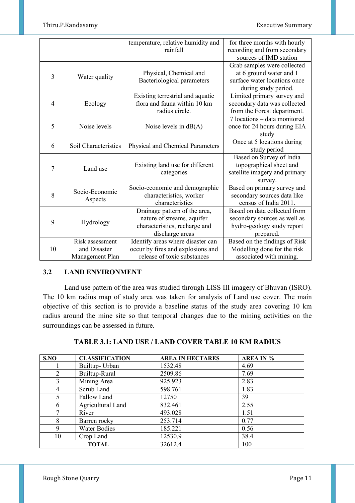|                |                      | temperature, relative humidity and | for three months with hourly  |
|----------------|----------------------|------------------------------------|-------------------------------|
|                |                      | rainfall                           | recording and from secondary  |
|                |                      |                                    | sources of IMD station        |
|                |                      |                                    | Grab samples were collected   |
| 3              | Water quality        | Physical, Chemical and             | at 6 ground water and 1       |
|                |                      | Bacteriological parameters         | surface water locations once  |
|                |                      |                                    | during study period.          |
|                |                      | Existing terrestrial and aquatic   | Limited primary survey and    |
| $\overline{4}$ | Ecology              | flora and fauna within 10 km       | secondary data was collected  |
|                |                      | radius circle.                     | from the Forest department.   |
|                |                      |                                    | 7 locations - data monitored  |
| 5              | Noise levels         | Noise levels in $dB(A)$            | once for 24 hours during EIA  |
|                |                      |                                    | study                         |
| 6              | Soil Characteristics | Physical and Chemical Parameters   | Once at 5 locations during    |
|                |                      |                                    | study period                  |
|                |                      |                                    | Based on Survey of India      |
| 7              | Land use             | Existing land use for different    | topographical sheet and       |
|                |                      | categories                         | satellite imagery and primary |
|                |                      |                                    | survey.                       |
|                | Socio-Economic       | Socio-economic and demographic     | Based on primary survey and   |
| 8              |                      | characteristics, worker            | secondary sources data like   |
|                | Aspects              | characteristics                    | census of India 2011.         |
|                |                      | Drainage pattern of the area,      | Based on data collected from  |
| 9              |                      | nature of streams, aquifer         | secondary sources as well as  |
|                | Hydrology            | characteristics, recharge and      | hydro-geology study report    |
|                |                      | discharge areas                    | prepared.                     |
|                | Risk assessment      | Identify areas where disaster can  | Based on the findings of Risk |
| 10             | and Disaster         | occur by fires and explosions and  | Modelling done for the risk   |
|                | Management Plan      | release of toxic substances        | associated with mining.       |

# **3.2 LAND ENVIRONMENT**

 Land use pattern of the area was studied through LISS III imagery of Bhuvan (ISRO). The 10 km radius map of study area was taken for analysis of Land use cover. The main objective of this section is to provide a baseline status of the study area covering 10 km radius around the mine site so that temporal changes due to the mining activities on the surroundings can be assessed in future.

| S.NO | <b>CLASSIFICATION</b> | <b>AREA IN HECTARES</b> | <b>AREA IN %</b> |
|------|-----------------------|-------------------------|------------------|
|      | Builtup-Urban         | 1532.48                 | 4.69             |
| 2    | Builtup-Rural         | 2509.86                 | 7.69             |
| 3    | Mining Area           | 925.923                 | 2.83             |
| 4    | Scrub Land            | 598.761                 | 1.83             |
| 5    | Fallow Land           | 12750                   | 39               |
| 6    | Agricultural Land     | 832.461                 | 2.55             |
|      | River                 | 493.028                 | 1.51             |
| 8    | Barren rocky          | 253.714                 | 0.77             |
| 9    | <b>Water Bodies</b>   | 185.221                 | 0.56             |
| 10   | Crop Land             | 12530.9                 | 38.4             |
|      | <b>TOTAL</b>          | 32612.4                 | 100              |

## **TABLE 3.1: LAND USE / LAND COVER TABLE 10 KM RADIUS**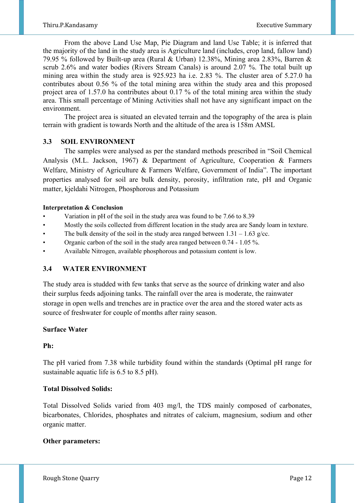From the above Land Use Map, Pie Diagram and land Use Table; it is inferred that the majority of the land in the study area is Agriculture land (includes, crop land, fallow land) 79.95 % followed by Built-up area (Rural & Urban) 12.38%, Mining area 2.83%, Barren & scrub 2.6% and water bodies (Rivers Stream Canals) is around 2.07 %. The total built up mining area within the study area is 925.923 ha i.e. 2.83 %. The cluster area of 5.27.0 ha contributes about 0.56 % of the total mining area within the study area and this proposed project area of 1.57.0 ha contributes about 0.17 % of the total mining area within the study area. This small percentage of Mining Activities shall not have any significant impact on the environment.

 The project area is situated an elevated terrain and the topography of the area is plain terrain with gradient is towards North and the altitude of the area is 158m AMSL

#### **3.3 SOIL ENVIRONMENT**

 The samples were analysed as per the standard methods prescribed in "Soil Chemical Analysis (M.L. Jackson, 1967) & Department of Agriculture, Cooperation & Farmers Welfare, Ministry of Agriculture & Farmers Welfare, Government of India". The important properties analysed for soil are bulk density, porosity, infiltration rate, pH and Organic matter, kjeldahi Nitrogen, Phosphorous and Potassium

#### **Interpretation & Conclusion**

- Variation in pH of the soil in the study area was found to be 7.66 to 8.39
- Mostly the soils collected from different location in the study area are Sandy loam in texture.
- The bulk density of the soil in the study area ranged between  $1.31 1.63$  g/cc.
- Organic carbon of the soil in the study area ranged between 0.74 1.05 %.
- Available Nitrogen, available phosphorous and potassium content is low.

## **3.4 WATER ENVIRONMENT**

The study area is studded with few tanks that serve as the source of drinking water and also their surplus feeds adjoining tanks. The rainfall over the area is moderate, the rainwater storage in open wells and trenches are in practice over the area and the stored water acts as source of freshwater for couple of months after rainy season.

#### **Surface Water**

#### **Ph:**

The pH varied from 7.38 while turbidity found within the standards (Optimal pH range for sustainable aquatic life is 6.5 to 8.5 pH).

#### **Total Dissolved Solids:**

Total Dissolved Solids varied from 403 mg/l, the TDS mainly composed of carbonates, bicarbonates, Chlorides, phosphates and nitrates of calcium, magnesium, sodium and other organic matter.

#### **Other parameters:**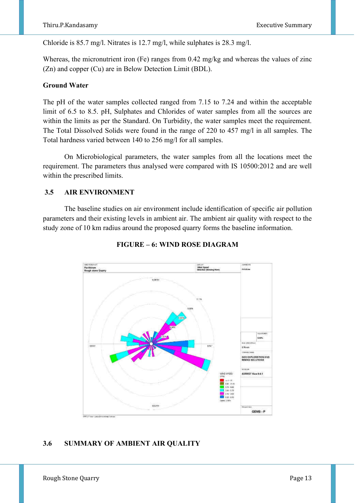Chloride is 85.7 mg/l. Nitrates is 12.7 mg/l, while sulphates is 28.3 mg/l.

Whereas, the micronutrient iron (Fe) ranges from 0.42 mg/kg and whereas the values of zinc (Zn) and copper (Cu) are in Below Detection Limit (BDL).

#### **Ground Water**

The pH of the water samples collected ranged from 7.15 to 7.24 and within the acceptable limit of 6.5 to 8.5. pH, Sulphates and Chlorides of water samples from all the sources are within the limits as per the Standard. On Turbidity, the water samples meet the requirement. The Total Dissolved Solids were found in the range of 220 to 457 mg/l in all samples. The Total hardness varied between 140 to 256 mg/l for all samples.

 On Microbiological parameters, the water samples from all the locations meet the requirement. The parameters thus analysed were compared with IS 10500:2012 and are well within the prescribed limits.

#### **3.5 AIR ENVIRONMENT**

The baseline studies on air environment include identification of specific air pollution parameters and their existing levels in ambient air. The ambient air quality with respect to the study zone of 10 km radius around the proposed quarry forms the baseline information.



#### **FIGURE – 6: WIND ROSE DIAGRAM**

#### **3.6 SUMMARY OF AMBIENT AIR QUALITY**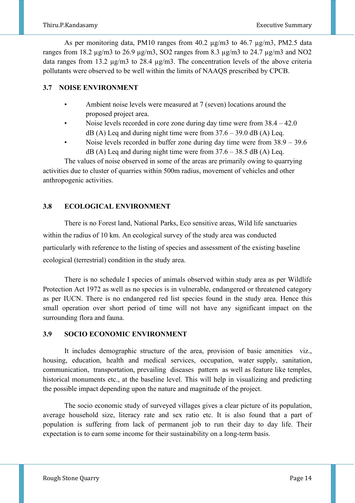As per monitoring data, PM10 ranges from 40.2  $\mu$ g/m3 to 46.7  $\mu$ g/m3, PM2.5 data ranges from 18.2  $\mu$ g/m3 to 26.9  $\mu$ g/m3, SO2 ranges from 8.3  $\mu$ g/m3 to 24.7  $\mu$ g/m3 and NO2 data ranges from 13.2 µg/m3 to 28.4 µg/m3. The concentration levels of the above criteria pollutants were observed to be well within the limits of NAAQS prescribed by CPCB.

# **3.7 NOISE ENVIRONMENT**

- Ambient noise levels were measured at 7 (seven) locations around the proposed project area.
- Noise levels recorded in core zone during day time were from 38.4 42.0  $dB(A)$  Leq and during night time were from  $37.6 - 39.0$  dB (A) Leq.
- Noise levels recorded in buffer zone during day time were from 38.9 39.6  $dB$  (A) Leq and during night time were from 37.6 – 38.5 dB (A) Leq.

The values of noise observed in some of the areas are primarily owing to quarrying activities due to cluster of quarries within 500m radius, movement of vehicles and other anthropogenic activities.

# **3.8 ECOLOGICAL ENVIRONMENT**

There is no Forest land, National Parks, Eco sensitive areas, Wild life sanctuaries within the radius of 10 km. An ecological survey of the study area was conducted particularly with reference to the listing of species and assessment of the existing baseline ecological (terrestrial) condition in the study area.

There is no schedule I species of animals observed within study area as per Wildlife Protection Act 1972 as well as no species is in vulnerable, endangered or threatened category as per IUCN. There is no endangered red list species found in the study area. Hence this small operation over short period of time will not have any significant impact on the surrounding flora and fauna.

# **3.9 SOCIO ECONOMIC ENVIRONMENT**

It includes demographic structure of the area, provision of basic amenities viz., housing, education, health and medical services, occupation, water supply, sanitation, communication, transportation, prevailing diseases pattern as well as feature like temples, historical monuments etc., at the baseline level. This will help in visualizing and predicting the possible impact depending upon the nature and magnitude of the project.

The socio economic study of surveyed villages gives a clear picture of its population, average household size, literacy rate and sex ratio etc. It is also found that a part of population is suffering from lack of permanent job to run their day to day life. Their expectation is to earn some income for their sustainability on a long-term basis.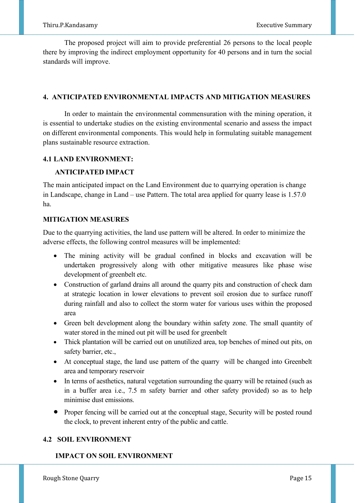The proposed project will aim to provide preferential 26 persons to the local people there by improving the indirect employment opportunity for 40 persons and in turn the social standards will improve.

# **4. ANTICIPATED ENVIRONMENTAL IMPACTS AND MITIGATION MEASURES**

In order to maintain the environmental commensuration with the mining operation, it is essential to undertake studies on the existing environmental scenario and assess the impact on different environmental components. This would help in formulating suitable management plans sustainable resource extraction.

## **4.1 LAND ENVIRONMENT:**

## **ANTICIPATED IMPACT**

The main anticipated impact on the Land Environment due to quarrying operation is change in Landscape, change in Land – use Pattern. The total area applied for quarry lease is 1.57.0 ha.

# **MITIGATION MEASURES**

Due to the quarrying activities, the land use pattern will be altered. In order to minimize the adverse effects, the following control measures will be implemented:

- The mining activity will be gradual confined in blocks and excavation will be undertaken progressively along with other mitigative measures like phase wise development of greenbelt etc.
- Construction of garland drains all around the quarry pits and construction of check dam at strategic location in lower elevations to prevent soil erosion due to surface runoff during rainfall and also to collect the storm water for various uses within the proposed area
- Green belt development along the boundary within safety zone. The small quantity of water stored in the mined out pit will be used for greenbelt
- Thick plantation will be carried out on unutilized area, top benches of mined out pits, on safety barrier, etc.,
- At conceptual stage, the land use pattern of the quarry will be changed into Greenbelt area and temporary reservoir
- In terms of aesthetics, natural vegetation surrounding the quarry will be retained (such as in a buffer area i.e., 7.5 m safety barrier and other safety provided) so as to help minimise dust emissions.
- Proper fencing will be carried out at the conceptual stage, Security will be posted round the clock, to prevent inherent entry of the public and cattle.

# **4.2 SOIL ENVIRONMENT**

# **IMPACT ON SOIL ENVIRONMENT**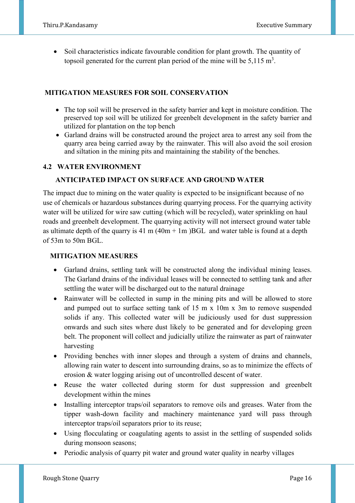• Soil characteristics indicate favourable condition for plant growth. The quantity of topsoil generated for the current plan period of the mine will be  $5,115 \text{ m}^3$ .

# **MITIGATION MEASURES FOR SOIL CONSERVATION**

- The top soil will be preserved in the safety barrier and kept in moisture condition. The preserved top soil will be utilized for greenbelt development in the safety barrier and utilized for plantation on the top bench
- Garland drains will be constructed around the project area to arrest any soil from the quarry area being carried away by the rainwater. This will also avoid the soil erosion and siltation in the mining pits and maintaining the stability of the benches.

## **4.2 WATER ENVIRONMENT**

#### **ANTICIPATED IMPACT ON SURFACE AND GROUND WATER**

The impact due to mining on the water quality is expected to be insignificant because of no use of chemicals or hazardous substances during quarrying process. For the quarrying activity water will be utilized for wire saw cutting (which will be recycled), water sprinkling on haul roads and greenbelt development. The quarrying activity will not intersect ground water table as ultimate depth of the quarry is 41 m  $(40m + 1m)BGL$  and water table is found at a depth of 53m to 50m BGL.

## **MITIGATION MEASURES**

- Garland drains, settling tank will be constructed along the individual mining leases. The Garland drains of the individual leases will be connected to settling tank and after settling the water will be discharged out to the natural drainage
- Rainwater will be collected in sump in the mining pits and will be allowed to store and pumped out to surface setting tank of 15 m x 10m x 3m to remove suspended solids if any. This collected water will be judiciously used for dust suppression onwards and such sites where dust likely to be generated and for developing green belt. The proponent will collect and judicially utilize the rainwater as part of rainwater harvesting
- Providing benches with inner slopes and through a system of drains and channels, allowing rain water to descent into surrounding drains, so as to minimize the effects of erosion & water logging arising out of uncontrolled descent of water.
- Reuse the water collected during storm for dust suppression and greenbelt development within the mines
- Installing interceptor traps/oil separators to remove oils and greases. Water from the tipper wash-down facility and machinery maintenance yard will pass through interceptor traps/oil separators prior to its reuse;
- Using flocculating or coagulating agents to assist in the settling of suspended solids during monsoon seasons;
- Periodic analysis of quarry pit water and ground water quality in nearby villages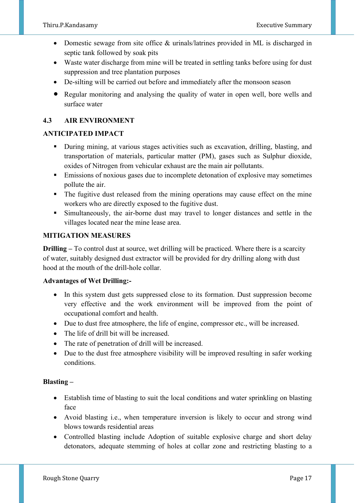- Domestic sewage from site office & urinals/latrines provided in ML is discharged in septic tank followed by soak pits
- Waste water discharge from mine will be treated in settling tanks before using for dust suppression and tree plantation purposes
- De-silting will be carried out before and immediately after the monsoon season
- Regular monitoring and analysing the quality of water in open well, bore wells and surface water

# **4.3 AIR ENVIRONMENT**

## **ANTICIPATED IMPACT**

- During mining, at various stages activities such as excavation, drilling, blasting, and transportation of materials, particular matter (PM), gases such as Sulphur dioxide, oxides of Nitrogen from vehicular exhaust are the main air pollutants.
- Emissions of noxious gases due to incomplete detonation of explosive may sometimes pollute the air.
- The fugitive dust released from the mining operations may cause effect on the mine workers who are directly exposed to the fugitive dust.
- Simultaneously, the air-borne dust may travel to longer distances and settle in the villages located near the mine lease area.

#### **MITIGATION MEASURES**

**Drilling –** To control dust at source, wet drilling will be practiced. Where there is a scarcity of water, suitably designed dust extractor will be provided for dry drilling along with dust hood at the mouth of the drill-hole collar.

#### **Advantages of Wet Drilling:-**

- In this system dust gets suppressed close to its formation. Dust suppression become very effective and the work environment will be improved from the point of occupational comfort and health.
- Due to dust free atmosphere, the life of engine, compressor etc., will be increased.
- The life of drill bit will be increased.
- The rate of penetration of drill will be increased.
- Due to the dust free atmosphere visibility will be improved resulting in safer working conditions.

## **Blasting –**

- Establish time of blasting to suit the local conditions and water sprinkling on blasting face
- Avoid blasting i.e., when temperature inversion is likely to occur and strong wind blows towards residential areas
- Controlled blasting include Adoption of suitable explosive charge and short delay detonators, adequate stemming of holes at collar zone and restricting blasting to a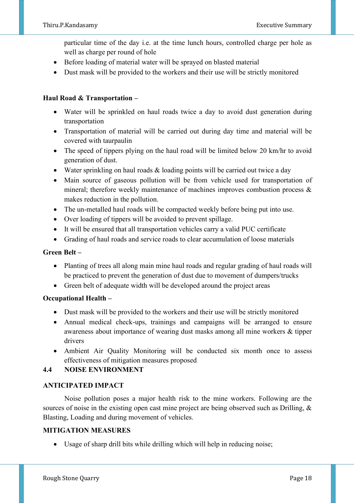particular time of the day i.e. at the time lunch hours, controlled charge per hole as well as charge per round of hole

- Before loading of material water will be sprayed on blasted material
- Dust mask will be provided to the workers and their use will be strictly monitored

# **Haul Road & Transportation –**

- Water will be sprinkled on haul roads twice a day to avoid dust generation during transportation
- Transportation of material will be carried out during day time and material will be covered with taurpaulin
- The speed of tippers plying on the haul road will be limited below 20 km/hr to avoid generation of dust.
- Water sprinkling on haul roads & loading points will be carried out twice a day
- Main source of gaseous pollution will be from vehicle used for transportation of mineral; therefore weekly maintenance of machines improves combustion process & makes reduction in the pollution.
- The un-metalled haul roads will be compacted weekly before being put into use.
- Over loading of tippers will be avoided to prevent spillage.
- It will be ensured that all transportation vehicles carry a valid PUC certificate
- Grading of haul roads and service roads to clear accumulation of loose materials

## **Green Belt –**

- Planting of trees all along main mine haul roads and regular grading of haul roads will be practiced to prevent the generation of dust due to movement of dumpers/trucks
- Green belt of adequate width will be developed around the project areas

## **Occupational Health –**

- Dust mask will be provided to the workers and their use will be strictly monitored
- Annual medical check-ups, trainings and campaigns will be arranged to ensure awareness about importance of wearing dust masks among all mine workers & tipper drivers
- Ambient Air Quality Monitoring will be conducted six month once to assess effectiveness of mitigation measures proposed

# **4.4 NOISE ENVIRONMENT**

## **ANTICIPATED IMPACT**

Noise pollution poses a major health risk to the mine workers. Following are the sources of noise in the existing open cast mine project are being observed such as Drilling, & Blasting, Loading and during movement of vehicles.

## **MITIGATION MEASURES**

• Usage of sharp drill bits while drilling which will help in reducing noise;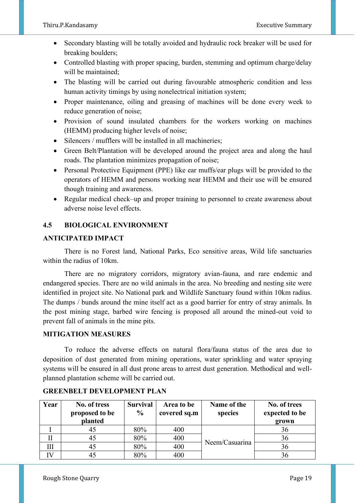- Secondary blasting will be totally avoided and hydraulic rock breaker will be used for breaking boulders;
- Controlled blasting with proper spacing, burden, stemming and optimum charge/delay will be maintained;
- The blasting will be carried out during favourable atmospheric condition and less human activity timings by using nonelectrical initiation system;
- Proper maintenance, oiling and greasing of machines will be done every week to reduce generation of noise;
- Provision of sound insulated chambers for the workers working on machines (HEMM) producing higher levels of noise;
- Silencers / mufflers will be installed in all machineries;
- Green Belt/Plantation will be developed around the project area and along the haul roads. The plantation minimizes propagation of noise;
- Personal Protective Equipment (PPE) like ear muffs/ear plugs will be provided to the operators of HEMM and persons working near HEMM and their use will be ensured though training and awareness.
- Regular medical check–up and proper training to personnel to create awareness about adverse noise level effects.

# **4.5 BIOLOGICAL ENVIRONMENT**

# **ANTICIPATED IMPACT**

There is no Forest land, National Parks, Eco sensitive areas, Wild life sanctuaries within the radius of 10km.

 There are no migratory corridors, migratory avian-fauna, and rare endemic and endangered species. There are no wild animals in the area. No breeding and nesting site were identified in project site. No National park and Wildlife Sanctuary found within 10km radius. The dumps / bunds around the mine itself act as a good barrier for entry of stray animals. In the post mining stage, barbed wire fencing is proposed all around the mined-out void to prevent fall of animals in the mine pits.

## **MITIGATION MEASURES**

 To reduce the adverse effects on natural flora/fauna status of the area due to deposition of dust generated from mining operations, water sprinkling and water spraying systems will be ensured in all dust prone areas to arrest dust generation. Methodical and wellplanned plantation scheme will be carried out.

| Year | No. of tress<br>proposed to be<br>planted | <b>Survival</b><br>$\frac{0}{0}$ | Area to be<br>covered sq.m | Name of the<br>species | No. of trees<br>expected to be<br>grown |
|------|-------------------------------------------|----------------------------------|----------------------------|------------------------|-----------------------------------------|
|      | 45                                        | 80%                              | 400                        |                        | 36                                      |
| П    | 45                                        | 80%                              | 400                        | Neem/Casuarina         | 36                                      |
| Ш    | 45                                        | 80%                              | 400                        |                        | 36                                      |
| IV   | 45                                        | 80%                              | 400                        |                        | 36                                      |

#### **GREENBELT DEVELOPMENT PLAN**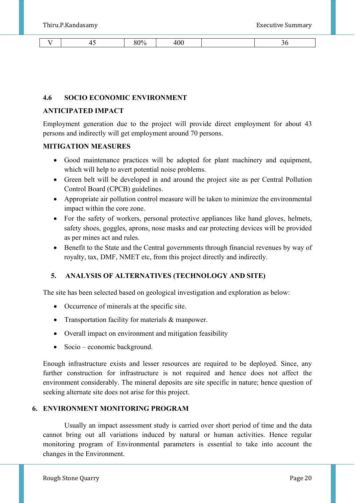| -- | ∕00 ∂<br>л. | . |  |
|----|-------------|---|--|

#### **4.6 SOCIO ECONOMIC ENVIRONMENT**

#### **ANTICIPATED IMPACT**

Employment generation due to the project will provide direct employment for about 43 persons and indirectly will get employment around 70 persons.

#### **MITIGATION MEASURES**

- Good maintenance practices will be adopted for plant machinery and equipment, which will help to avert potential noise problems.
- Green belt will be developed in and around the project site as per Central Pollution Control Board (CPCB) guidelines.
- Appropriate air pollution control measure will be taken to minimize the environmental impact within the core zone.
- For the safety of workers, personal protective appliances like hand gloves, helmets, safety shoes, goggles, aprons, nose masks and ear protecting devices will be provided as per mines act and rules.
- Benefit to the State and the Central governments through financial revenues by way of royalty, tax, DMF, NMET etc, from this project directly and indirectly.

#### **5. ANALYSIS OF ALTERNATIVES (TECHNOLOGY AND SITE)**

The site has been selected based on geological investigation and exploration as below:

- Occurrence of minerals at the specific site.
- Transportation facility for materials & manpower.
- Overall impact on environment and mitigation feasibility
- Socio economic background.

Enough infrastructure exists and lesser resources are required to be deployed. Since, any further construction for infrastructure is not required and hence does not affect the environment considerably. The mineral deposits are site specific in nature; hence question of seeking alternate site does not arise for this project.

## **6. ENVIRONMENT MONITORING PROGRAM**

Usually an impact assessment study is carried over short period of time and the data cannot bring out all variations induced by natural or human activities. Hence regular monitoring program of Environmental parameters is essential to take into account the changes in the Environment.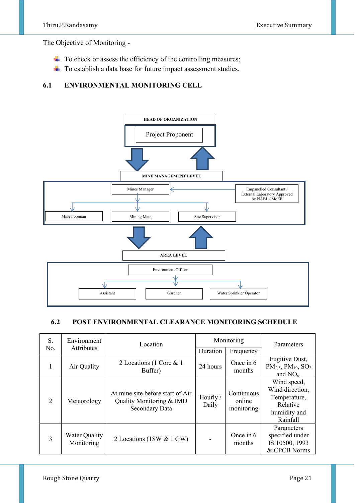The Objective of Monitoring -

- $\overline{\phantom{a}}$  To check or assess the efficiency of the controlling measures;
- ÷ To establish a data base for future impact assessment studies.

## **6.1 ENVIRONMENTAL MONITORING CELL**



#### **6.2 POST ENVIRONMENTAL CLEARANCE MONITORING SCHEDULE**

| S.<br>No. | Environment<br>Attributes   | Location                                                                       | Monitoring        |                                    | Parameters                                                                             |
|-----------|-----------------------------|--------------------------------------------------------------------------------|-------------------|------------------------------------|----------------------------------------------------------------------------------------|
|           |                             |                                                                                | Duration          | Frequency                          |                                                                                        |
| 1         | Air Quality                 | 2 Locations (1 Core & 1<br>Buffer)                                             | 24 hours          | Once in 6<br>months                | Fugitive Dust,<br>$PM_{2.5}$ , $PM_{10}$ , $SO_2$<br>and $NOx$ .                       |
| 2         | Meteorology                 | At mine site before start of Air<br>Quality Monitoring & IMD<br>Secondary Data | Hourly /<br>Daily | Continuous<br>online<br>monitoring | Wind speed,<br>Wind direction,<br>Temperature,<br>Relative<br>humidity and<br>Rainfall |
| 3         | Water Quality<br>Monitoring | 2 Locations (1SW & 1 GW)                                                       |                   | Once in 6<br>months                | Parameters<br>specified under<br>IS:10500, 1993<br>& CPCB Norms                        |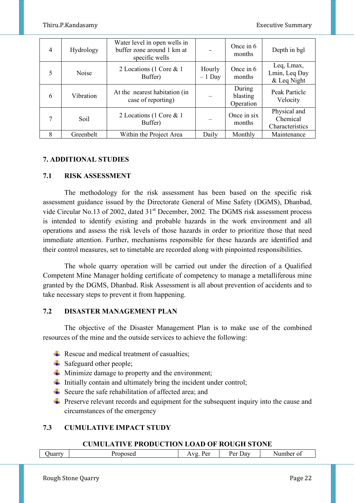| 4 | Hydrology | Water level in open wells in<br>buffer zone around 1 km at<br>specific wells |                    | Once in 6<br>months             | Depth in bgl                                |
|---|-----------|------------------------------------------------------------------------------|--------------------|---------------------------------|---------------------------------------------|
| 5 | Noise     | 2 Locations (1 Core & 1<br>Buffer)                                           | Hourly<br>$-1$ Day | Once in 6<br>months             | Leq, Lmax,<br>Lmin, Leq Day<br>& Leq Night  |
| 6 | Vibration | At the nearest habitation (in<br>case of reporting)                          |                    | During<br>blasting<br>Operation | Peak Particle<br>Velocity                   |
| 7 | Soil      | 2 Locations (1 Core & 1<br>Buffer)                                           |                    | Once in six<br>months           | Physical and<br>Chemical<br>Characteristics |
| 8 | Greenbelt | Within the Project Area                                                      | Daily              | Monthly                         | Maintenance                                 |

#### **7. ADDITIONAL STUDIES**

#### **7.1 RISK ASSESSMENT**

The methodology for the risk assessment has been based on the specific risk assessment guidance issued by the Directorate General of Mine Safety (DGMS), Dhanbad, vide Circular No.13 of 2002, dated 31<sup>st</sup> December, 2002. The DGMS risk assessment process is intended to identify existing and probable hazards in the work environment and all operations and assess the risk levels of those hazards in order to prioritize those that need immediate attention. Further, mechanisms responsible for these hazards are identified and their control measures, set to timetable are recorded along with pinpointed responsibilities.

The whole quarry operation will be carried out under the direction of a Qualified Competent Mine Manager holding certificate of competency to manage a metalliferous mine granted by the DGMS, Dhanbad. Risk Assessment is all about prevention of accidents and to take necessary steps to prevent it from happening.

#### **7.2 DISASTER MANAGEMENT PLAN**

 The objective of the Disaster Management Plan is to make use of the combined resources of the mine and the outside services to achieve the following:

- $\overline{\phantom{a}}$  Rescue and medical treatment of casualties;
- $\triangleq$  Safeguard other people;
- $\overline{\text{I}}$  Minimize damage to property and the environment;
- Initially contain and ultimately bring the incident under control;
- Secure the safe rehabilitation of affected area; and
- $\ddot{\phantom{1}}$  Preserve relevant records and equipment for the subsequent inquiry into the cause and circumstances of the emergency

## **7.3 CUMULATIVE IMPACT STUDY**

#### **CUMULATIVE PRODUCTION LOAD OF ROUGH STONE**

|  | Quarry |  | Proposed | $\sim$<br>$\mathbf{p}_{\alpha r}$<br>$\mathbf{v}$<br>ັບ<br>. . | $\overline{\phantom{a}}$<br>Jav<br>ינם<br>້ | ber of<br>'NUIT. |
|--|--------|--|----------|----------------------------------------------------------------|---------------------------------------------|------------------|
|--|--------|--|----------|----------------------------------------------------------------|---------------------------------------------|------------------|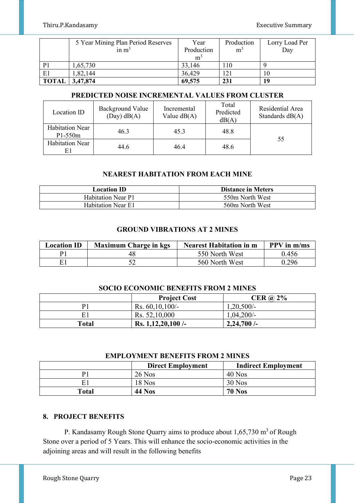|              | 5 Year Mining Plan Period Reserves | Year           | Production     | Lorry Load Per |
|--------------|------------------------------------|----------------|----------------|----------------|
|              | in $m3$                            | Production     | m <sup>3</sup> | Day            |
|              |                                    | m <sup>3</sup> |                |                |
|              | 1,65,730                           | 33,146         | <b>10</b>      |                |
| E1           | 1,82,144                           | 36,429         |                | 10             |
| <b>TOTAL</b> | 3,47,874                           | 69,575         | 231            | 19             |

# **PREDICTED NOISE INCREMENTAL VALUES FROM CLUSTER**

| Location ID                         | Background Value<br>$(Day)$ dB $(A)$ | Incremental<br>Value $dB(A)$ | Total<br>Predicted<br>dB(A) | Residential Area<br>Standards $dB(A)$ |  |
|-------------------------------------|--------------------------------------|------------------------------|-----------------------------|---------------------------------------|--|
| <b>Habitation Near</b><br>$P1-550m$ | 46.3                                 | 45.3                         | 48.8                        |                                       |  |
| <b>Habitation Near</b><br>E1        | 44.6                                 | 46.4                         | 48.6                        | 55                                    |  |

# **NEAREST HABITATION FROM EACH MINE**

| <b>Location ID</b>        | <b>Distance in Meters</b> |
|---------------------------|---------------------------|
| <b>Habitation Near P1</b> | 550m North West           |
| <b>Habitation Near E1</b> | 560m North West           |

## **GROUND VIBRATIONS AT 2 MINES**

| <b>Location ID</b> | <b>Maximum Charge in kgs</b> | <b>Nearest Habitation in m</b> | $PPV$ in $m/ms$ |
|--------------------|------------------------------|--------------------------------|-----------------|
| D1                 |                              | 550 North West                 | 0.456           |
| F.                 |                              | 560 North West                 | 0.296           |

#### **SOCIO ECONOMIC BENEFITS FROM 2 MINES**

|       | <b>Project Cost</b>  | CER $\omega$ 2% |
|-------|----------------------|-----------------|
| D1    | Rs. $60,10,100/$ -   | $1,20,500/-$    |
| E1    | Rs. 52,10,000        | $1,04,200/-$    |
| Total | Rs. $1,12,20,100$ /- | $2,24,700$ /-   |

#### **EMPLOYMENT BENEFITS FROM 2 MINES**

|                | <b>Direct Employment</b> | <b>Indirect Employment</b> |
|----------------|--------------------------|----------------------------|
| D <sup>1</sup> | $26$ Nos                 | $40$ Nos                   |
|                | $18$ Nos                 | $30$ Nos                   |
| <b>Total</b>   | <b>44 Nos</b>            | <b>70 Nos</b>              |

## **8. PROJECT BENEFITS**

P. Kandasamy Rough Stone Quarry aims to produce about  $1,65,730$  m<sup>3</sup> of Rough Stone over a period of 5 Years. This will enhance the socio-economic activities in the adjoining areas and will result in the following benefits